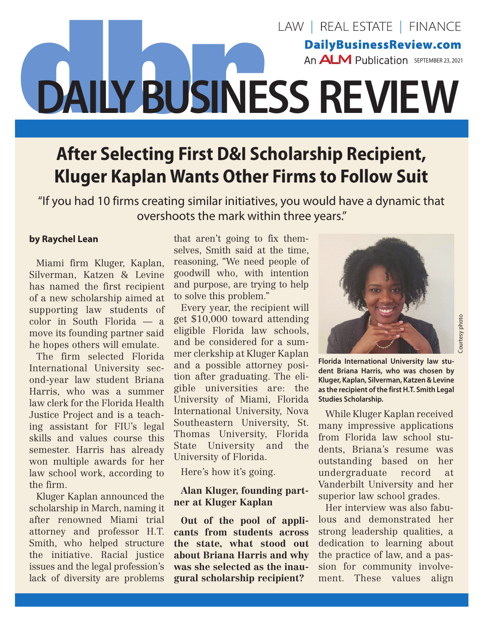# LAW | REAL ESTATE | FINANCE **DailyBusinessReview.com** An **ALM** Publication SEPTEMBER 23, 2021 J **DAILY BUSINESS REVIEW**

## **After Selecting First D&I Scholarship Recipient, Kluger Kaplan Wants Other Firms to Follow Suit**

"If you had 10 firms creating similar initiatives, you would have a dynamic that overshoots the mark within three years."

#### **by Raychel Lean**

Miami firm Kluger, Kaplan, Silverman, Katzen & Levine has named the first recipient of a new scholarship aimed at supporting law students of color in South Florida — a move its founding partner said he hopes others will emulate.

The firm selected Florida International University second-year law student Briana Harris, who was a summer law clerk for the Florida Health Justice Project and is a teaching assistant for FIU's legal skills and values course this semester. Harris has already won multiple awards for her law school work, according to the firm.

Kluger Kaplan announced the scholarship in March, naming it after renowned Miami trial attorney and professor H.T. Smith, who helped structure the initiative. Racial justice issues and the legal profession's lack of diversity are problems

that aren't going to fix themselves, Smith said at the time, reasoning, "We need people of goodwill who, with intention and purpose, are trying to help to solve this problem."

Every year, the recipient will get \$10,000 toward attending eligible Florida law schools, and be considered for a summer clerkship at Kluger Kaplan and a possible attorney position after graduating. The eligible universities are: the University of Miami, Florida International University, Nova Southeastern University, St. Thomas University, Florida State University and the University of Florida.

Here's how it's going.

#### **Alan Kluger, founding partner at Kluger Kaplan**

**Out of the pool of applicants from students across the state, what stood out about Briana Harris and why was she selected as the inaugural scholarship recipient?**



Courtesy photo

ourtesy photo

**Florida International University law student Briana Harris, who was chosen by Kluger, Kaplan, Silverman, Katzen & Levine as the recipient of the first H.T. Smith Legal Studies Scholarship.**

While Kluger Kaplan received many impressive applications from Florida law school students, Briana's resume was outstanding based on her undergraduate record at Vanderbilt University and her superior law school grades.

Her interview was also fabulous and demonstrated her strong leadership qualities, a dedication to learning about the practice of law, and a passion for community involvement. These values align